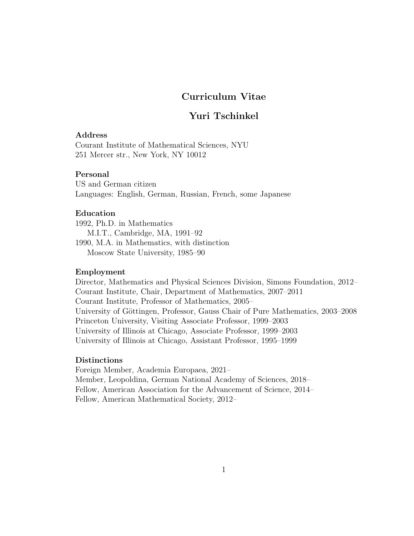## Curriculum Vitae

# Yuri Tschinkel

## Address

Courant Institute of Mathematical Sciences, NYU 251 Mercer str., New York, NY 10012

## Personal

US and German citizen Languages: English, German, Russian, French, some Japanese

## Education

1992, Ph.D. in Mathematics M.I.T., Cambridge, MA, 1991–92 1990, M.A. in Mathematics, with distinction Moscow State University, 1985–90

### Employment

Director, Mathematics and Physical Sciences Division, Simons Foundation, 2012– Courant Institute, Chair, Department of Mathematics, 2007–2011 Courant Institute, Professor of Mathematics, 2005– University of Göttingen, Professor, Gauss Chair of Pure Mathematics, 2003–2008 Princeton University, Visiting Associate Professor, 1999–2003 University of Illinois at Chicago, Associate Professor, 1999–2003 University of Illinois at Chicago, Assistant Professor, 1995–1999

#### Distinctions

Foreign Member, Academia Europaea, 2021– Member, Leopoldina, German National Academy of Sciences, 2018– Fellow, American Association for the Advancement of Science, 2014– Fellow, American Mathematical Society, 2012–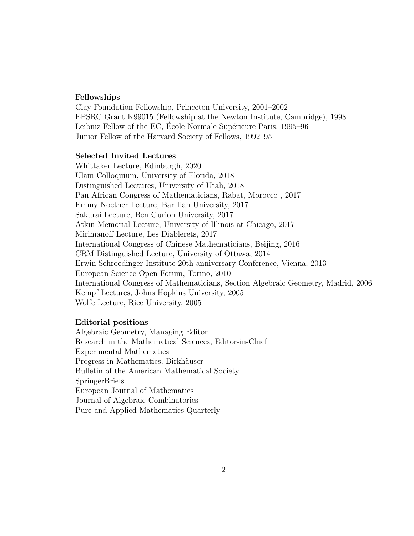#### Fellowships

Clay Foundation Fellowship, Princeton University, 2001–2002 EPSRC Grant K99015 (Fellowship at the Newton Institute, Cambridge), 1998 Leibniz Fellow of the EC, Ecole Normale Supérieure Paris, 1995–96 Junior Fellow of the Harvard Society of Fellows, 1992–95

### Selected Invited Lectures

Whittaker Lecture, Edinburgh, 2020 Ulam Colloquium, University of Florida, 2018 Distinguished Lectures, University of Utah, 2018 Pan African Congress of Mathematicians, Rabat, Morocco , 2017 Emmy Noether Lecture, Bar Ilan University, 2017 Sakurai Lecture, Ben Gurion University, 2017 Atkin Memorial Lecture, University of Illinois at Chicago, 2017 Mirimanoff Lecture, Les Diablerets, 2017 International Congress of Chinese Mathematicians, Beijing, 2016 CRM Distinguished Lecture, University of Ottawa, 2014 Erwin-Schroedinger-Institute 20th anniversary Conference, Vienna, 2013 European Science Open Forum, Torino, 2010 International Congress of Mathematicians, Section Algebraic Geometry, Madrid, 2006 Kempf Lectures, Johns Hopkins University, 2005 Wolfe Lecture, Rice University, 2005

#### Editorial positions

Algebraic Geometry, Managing Editor Research in the Mathematical Sciences, Editor-in-Chief Experimental Mathematics Progress in Mathematics, Birkhäuser Bulletin of the American Mathematical Society SpringerBriefs European Journal of Mathematics Journal of Algebraic Combinatorics Pure and Applied Mathematics Quarterly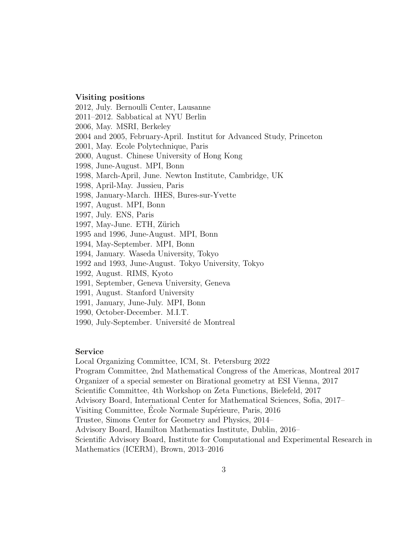#### Visiting positions

2012, July. Bernoulli Center, Lausanne 2011–2012. Sabbatical at NYU Berlin 2006, May. MSRI, Berkeley 2004 and 2005, February-April. Institut for Advanced Study, Princeton 2001, May. Ecole Polytechnique, Paris 2000, August. Chinese University of Hong Kong 1998, June-August. MPI, Bonn 1998, March-April, June. Newton Institute, Cambridge, UK 1998, April-May. Jussieu, Paris 1998, January-March. IHES, Bures-sur-Yvette 1997, August. MPI, Bonn 1997, July. ENS, Paris 1997, May-June. ETH, Zürich 1995 and 1996, June-August. MPI, Bonn 1994, May-September. MPI, Bonn 1994, January. Waseda University, Tokyo 1992 and 1993, June-August. Tokyo University, Tokyo 1992, August. RIMS, Kyoto 1991, September, Geneva University, Geneva 1991, August. Stanford University 1991, January, June-July. MPI, Bonn

- 1990, October-December. M.I.T.
- 1990, July-September. Université de Montreal

#### Service

Local Organizing Committee, ICM, St. Petersburg 2022 Program Committee, 2nd Mathematical Congress of the Americas, Montreal 2017 Organizer of a special semester on Birational geometry at ESI Vienna, 2017 Scientific Committee, 4th Workshop on Zeta Functions, Bielefeld, 2017 Advisory Board, International Center for Mathematical Sciences, Sofia, 2017– Visiting Committee, Ecole Normale Supérieure, Paris, 2016 Trustee, Simons Center for Geometry and Physics, 2014– Advisory Board, Hamilton Mathematics Institute, Dublin, 2016– Scientific Advisory Board, Institute for Computational and Experimental Research in Mathematics (ICERM), Brown, 2013–2016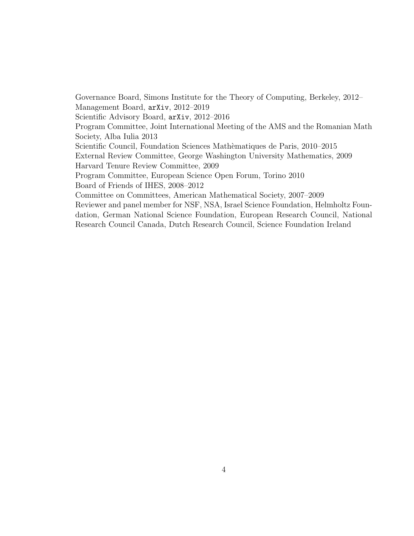Governance Board, Simons Institute for the Theory of Computing, Berkeley, 2012– Management Board, arXiv, 2012–2019 Scientific Advisory Board, arXiv, 2012–2016 Program Committee, Joint International Meeting of the AMS and the Romanian Math Society, Alba Iulia 2013 Scientific Council, Foundation Sciences Math`ematiques de Paris, 2010–2015 External Review Committee, George Washington University Mathematics, 2009 Harvard Tenure Review Committee, 2009 Program Committee, European Science Open Forum, Torino 2010 Board of Friends of IHES, 2008–2012 Committee on Committees, American Mathematical Society, 2007–2009 Reviewer and panel member for NSF, NSA, Israel Science Foundation, Helmholtz Foundation, German National Science Foundation, European Research Council, National Research Council Canada, Dutch Research Council, Science Foundation Ireland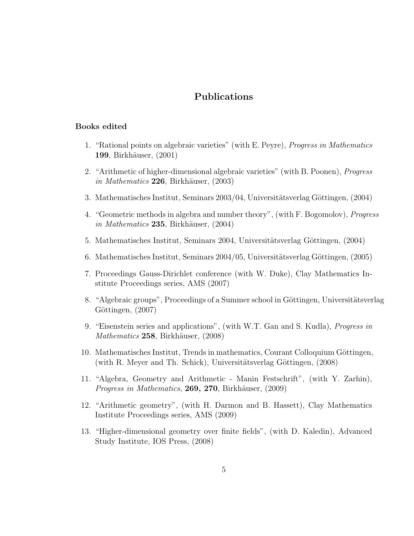## Publications

#### Books edited

- 1. "Rational points on algebraic varieties" (with E. Peyre), Progress in Mathematics 199, Birkhäuser, (2001)
- 2. "Arithmetic of higher-dimensional algebraic varieties" (with B. Poonen), Progress in Mathematics  $226$ , Birkhäuser,  $(2003)$
- 3. Mathematisches Institut, Seminars  $2003/04$ , Universitätsverlag Göttingen, (2004)
- 4. "Geometric methods in algebra and number theory", (with F. Bogomolov), Progress  $in$  *Mathematics* **235**, Birkhäuser, (2004)
- 5. Mathematisches Institut, Seminars 2004, Universitätsverlag Göttingen, (2004)
- 6. Mathematisches Institut, Seminars  $2004/05$ , Universitätsverlag Göttingen, (2005)
- 7. Proceedings Gauss-Dirichlet conference (with W. Duke), Clay Mathematics Institute Proceedings series, AMS (2007)
- 8. "Algebraic groups", Proceedings of a Summer school in Göttingen, Universitätsverlag Göttingen, (2007)
- 9. "Eisenstein series and applications", (with W.T. Gan and S. Kudla), Progress in Mathematics 258, Birkhäuser, (2008)
- 10. Mathematisches Institut, Trends in mathematics, Courant Colloquium Göttingen, (with R. Meyer and Th. Schick), Universitätsverlag Göttingen,  $(2008)$
- 11. "Algebra, Geometry and Arithmetic Manin Festschrift", (with Y. Zarhin), *Progress in Mathematics*, **269, 270**, Birkhäuser,  $(2009)$
- 12. "Arithmetic geometry", (with H. Darmon and B. Hassett), Clay Mathematics Institute Proceedings series, AMS (2009)
- 13. "Higher-dimensional geometry over finite fields", (with D. Kaledin), Advanced Study Institute, IOS Press, (2008)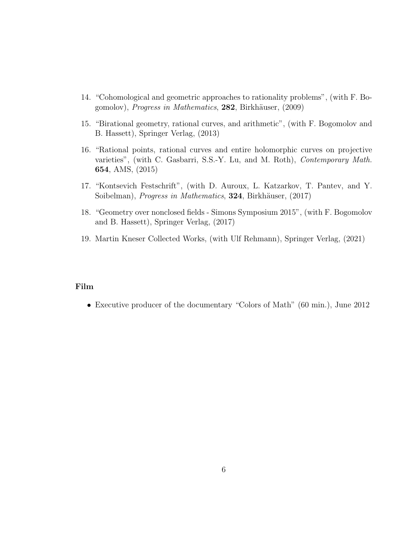- 14. "Cohomological and geometric approaches to rationality problems", (with F. Bogomolov), *Progress in Mathematics*, 282, Birkhäuser, (2009)
- 15. "Birational geometry, rational curves, and arithmetic", (with F. Bogomolov and B. Hassett), Springer Verlag, (2013)
- 16. "Rational points, rational curves and entire holomorphic curves on projective varieties", (with C. Gasbarri, S.S.-Y. Lu, and M. Roth), Contemporary Math. 654, AMS, (2015)
- 17. "Kontsevich Festschrift", (with D. Auroux, L. Katzarkov, T. Pantev, and Y. Soibelman), *Progress in Mathematics*, 324, Birkhäuser, (2017)
- 18. "Geometry over nonclosed fields Simons Symposium 2015", (with F. Bogomolov and B. Hassett), Springer Verlag, (2017)
- 19. Martin Kneser Collected Works, (with Ulf Rehmann), Springer Verlag, (2021)

## Film

• Executive producer of the documentary "Colors of Math" (60 min.), June 2012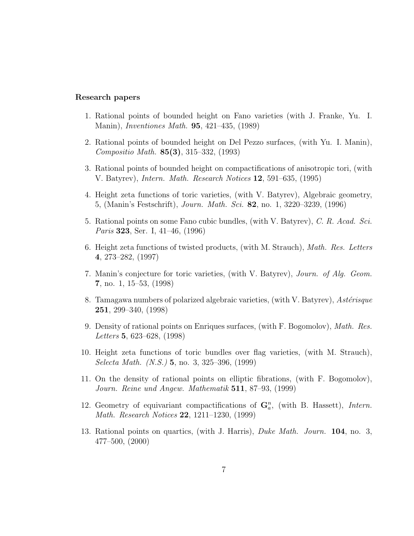#### Research papers

- 1. Rational points of bounded height on Fano varieties (with J. Franke, Yu. I. Manin), *Inventiones Math.* **95**, 421–435, (1989)
- 2. Rational points of bounded height on Del Pezzo surfaces, (with Yu. I. Manin), Compositio Math. 85(3), 315–332, (1993)
- 3. Rational points of bounded height on compactifications of anisotropic tori, (with V. Batyrev), Intern. Math. Research Notices 12, 591–635, (1995)
- 4. Height zeta functions of toric varieties, (with V. Batyrev), Algebraic geometry, 5, (Manin's Festschrift), Journ. Math. Sci. 82, no. 1, 3220–3239, (1996)
- 5. Rational points on some Fano cubic bundles, (with V. Batyrev), C. R. Acad. Sci. Paris **323**, Ser. I, 41–46, (1996)
- 6. Height zeta functions of twisted products, (with M. Strauch), Math. Res. Letters 4, 273–282, (1997)
- 7. Manin's conjecture for toric varieties, (with V. Batyrev), Journ. of Alg. Geom. 7, no. 1, 15–53, (1998)
- 8. Tamagawa numbers of polarized algebraic varieties, (with V. Batyrev), Astérisque 251, 299–340, (1998)
- 9. Density of rational points on Enriques surfaces, (with F. Bogomolov), Math. Res. Letters 5, 623–628, (1998)
- 10. Height zeta functions of toric bundles over flag varieties, (with M. Strauch), Selecta Math. (N.S.) 5, no. 3, 325–396, (1999)
- 11. On the density of rational points on elliptic fibrations, (with F. Bogomolov), Journ. Reine und Angew. Mathematik 511, 87–93, (1999)
- 12. Geometry of equivariant compactifications of  $\mathbf{G}_a^n$ , (with B. Hassett), Intern. Math. Research Notices 22, 1211–1230, (1999)
- 13. Rational points on quartics, (with J. Harris), Duke Math. Journ. 104, no. 3, 477–500, (2000)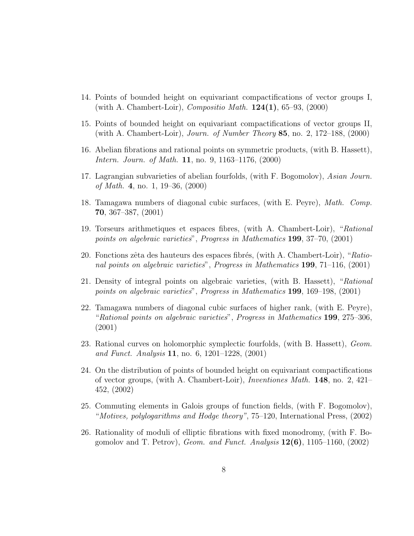- 14. Points of bounded height on equivariant compactifications of vector groups I, (with A. Chambert-Loir), *Compositio Math.*  $124(1)$ , 65–93, (2000)
- 15. Points of bounded height on equivariant compactifications of vector groups II, (with A. Chambert-Loir), Journ. of Number Theory 85, no. 2, 172–188,  $(2000)$
- 16. Abelian fibrations and rational points on symmetric products, (with B. Hassett), Intern. Journ. of Math. 11, no. 9, 1163–1176, (2000)
- 17. Lagrangian subvarieties of abelian fourfolds, (with F. Bogomolov), Asian Journ. of Math. 4, no. 1, 19–36, (2000)
- 18. Tamagawa numbers of diagonal cubic surfaces, (with E. Peyre), Math. Comp. 70, 367–387, (2001)
- 19. Torseurs arithmetiques et espaces fibres, (with A. Chambert-Loir), "Rational points on algebraic varieties", Progress in Mathematics 199, 37–70, (2001)
- 20. Fonctions zêta des hauteurs des espaces fibrés, (with A. Chambert-Loir), " $Ratio$ nal points on algebraic varieties", Progress in Mathematics 199, 71–116, (2001)
- 21. Density of integral points on algebraic varieties, (with B. Hassett), "Rational points on algebraic varieties", Progress in Mathematics 199, 169–198, (2001)
- 22. Tamagawa numbers of diagonal cubic surfaces of higher rank, (with E. Peyre), "Rational points on algebraic varieties", Progress in Mathematics 199, 275–306, (2001)
- 23. Rational curves on holomorphic symplectic fourfolds, (with B. Hassett), Geom. and Funct. Analysis 11, no. 6, 1201–1228,  $(2001)$
- 24. On the distribution of points of bounded height on equivariant compactifications of vector groups, (with A. Chambert-Loir), *Inventiones Math.* **148**, no. 2,  $421-$ 452, (2002)
- 25. Commuting elements in Galois groups of function fields, (with F. Bogomolov), "Motives, polylogarithms and Hodge theory", 75–120, International Press, (2002)
- 26. Rationality of moduli of elliptic fibrations with fixed monodromy, (with F. Bogomolov and T. Petrov), Geom. and Funct. Analysis  $12(6)$ , 1105–1160, (2002)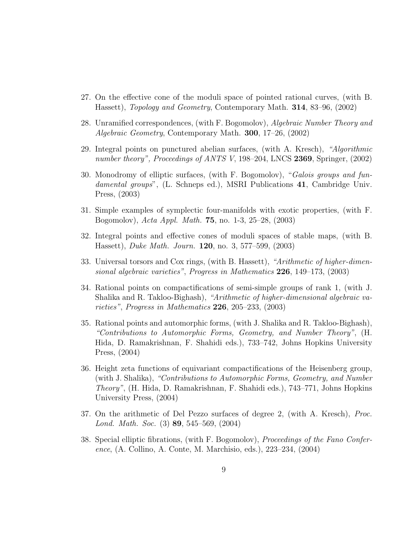- 27. On the effective cone of the moduli space of pointed rational curves, (with B. Hassett), Topology and Geometry, Contemporary Math. 314, 83–96, (2002)
- 28. Unramified correspondences, (with F. Bogomolov), Algebraic Number Theory and Algebraic Geometry, Contemporary Math. **300**, 17–26, (2002)
- 29. Integral points on punctured abelian surfaces, (with A. Kresch), "Algorithmic number theory", Proceedings of ANTS V, 198–204, LNCS 2369, Springer,  $(2002)$
- 30. Monodromy of elliptic surfaces, (with F. Bogomolov), "Galois groups and fundamental groups", (L. Schneps ed.), MSRI Publications 41, Cambridge Univ. Press, (2003)
- 31. Simple examples of symplectic four-manifolds with exotic properties, (with F. Bogomolov), Acta Appl. Math. 75, no. 1-3, 25–28, (2003)
- 32. Integral points and effective cones of moduli spaces of stable maps, (with B. Hassett), *Duke Math. Journ.* **120**, no. 3, 577–599,  $(2003)$
- 33. Universal torsors and Cox rings, (with B. Hassett), "Arithmetic of higher-dimensional algebraic varieties", Progress in Mathematics 226, 149–173, (2003)
- 34. Rational points on compactifications of semi-simple groups of rank 1, (with J. Shalika and R. Takloo-Bighash), "Arithmetic of higher-dimensional algebraic varieties", Progress in Mathematics 226, 205–233, (2003)
- 35. Rational points and automorphic forms, (with J. Shalika and R. Takloo-Bighash), "Contributions to Automorphic Forms, Geometry, and Number Theory", (H. Hida, D. Ramakrishnan, F. Shahidi eds.), 733–742, Johns Hopkins University Press, (2004)
- 36. Height zeta functions of equivariant compactifications of the Heisenberg group, (with J. Shalika), "Contributions to Automorphic Forms, Geometry, and Number Theory", (H. Hida, D. Ramakrishnan, F. Shahidi eds.), 743–771, Johns Hopkins University Press, (2004)
- 37. On the arithmetic of Del Pezzo surfaces of degree 2, (with A. Kresch), Proc. Lond. Math. Soc. (3) 89, 545–569, (2004)
- 38. Special elliptic fibrations, (with F. Bogomolov), *Proceedings of the Fano Confer*ence, (A. Collino, A. Conte, M. Marchisio, eds.), 223–234, (2004)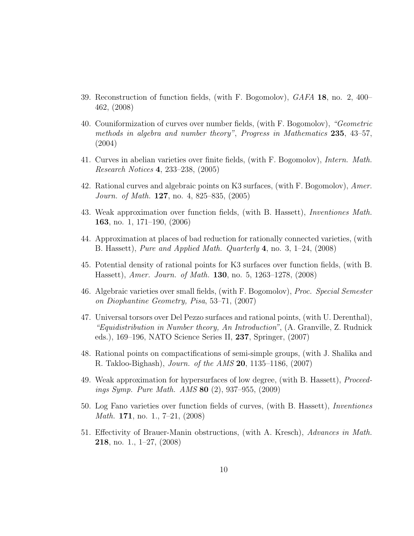- 39. Reconstruction of function fields, (with F. Bogomolov), GAFA 18, no. 2, 400– 462, (2008)
- 40. Couniformization of curves over number fields, (with F. Bogomolov), "Geometric methods in algebra and number theory", Progress in Mathematics 235, 43-57, (2004)
- 41. Curves in abelian varieties over finite fields, (with F. Bogomolov), Intern. Math. Research Notices 4, 233–238, (2005)
- 42. Rational curves and algebraic points on K3 surfaces, (with F. Bogomolov), Amer. Journ. of Math. **127**, no. 4, 825–835, (2005)
- 43. Weak approximation over function fields, (with B. Hassett), Inventiones Math. 163, no. 1, 171–190, (2006)
- 44. Approximation at places of bad reduction for rationally connected varieties, (with B. Hassett), Pure and Applied Math. Quarterly 4, no. 3,  $1-24$ ,  $(2008)$
- 45. Potential density of rational points for K3 surfaces over function fields, (with B. Hassett), *Amer. Journ. of Math.* **130**, no. 5, 1263–1278, (2008)
- 46. Algebraic varieties over small fields, (with F. Bogomolov), Proc. Special Semester on Diophantine Geometry, Pisa, 53–71, (2007)
- 47. Universal torsors over Del Pezzo surfaces and rational points, (with U. Derenthal), "Equidistribution in Number theory, An Introduction", (A. Granville, Z. Rudnick eds.), 169–196, NATO Science Series II, 237, Springer, (2007)
- 48. Rational points on compactifications of semi-simple groups, (with J. Shalika and R. Takloo-Bighash), Journ. of the AMS 20, 1135–1186, (2007)
- 49. Weak approximation for hypersurfaces of low degree, (with B. Hassett), Proceedings Symp. Pure Math. AMS 80 (2), 937–955, (2009)
- 50. Log Fano varieties over function fields of curves, (with B. Hassett), Inventiones *Math.* **171**, no. 1., 7–21, (2008)
- 51. Effectivity of Brauer-Manin obstructions, (with A. Kresch), Advances in Math. **218**, no. 1.,  $1\n-27$ ,  $(2008)$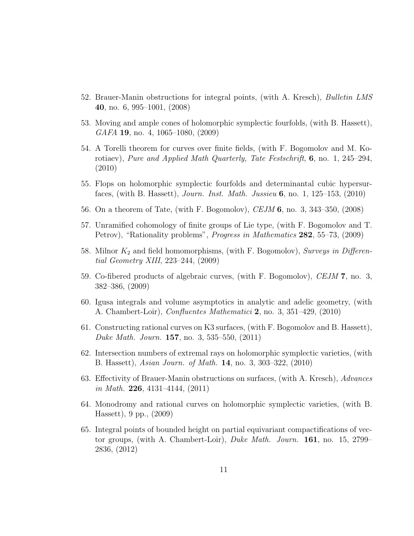- 52. Brauer-Manin obstructions for integral points, (with A. Kresch), Bulletin LMS 40, no. 6, 995–1001, (2008)
- 53. Moving and ample cones of holomorphic symplectic fourfolds, (with B. Hassett), GAFA 19, no. 4, 1065–1080, (2009)
- 54. A Torelli theorem for curves over finite fields, (with F. Bogomolov and M. Korotiaev), Pure and Applied Math Quarterly, Tate Festschrift,  $6$ , no. 1, 245–294, (2010)
- 55. Flops on holomorphic symplectic fourfolds and determinantal cubic hypersurfaces, (with B. Hassett), Journ. Inst. Math. Jussieu  $6$ , no. 1, 125–153, (2010)
- 56. On a theorem of Tate, (with F. Bogomolov), CEJM 6, no. 3, 343–350, (2008)
- 57. Unramified cohomology of finite groups of Lie type, (with F. Bogomolov and T. Petrov), "Rationality problems", Progress in Mathematics 282, 55–73, (2009)
- 58. Milnor  $K_2$  and field homomorphisms, (with F. Bogomolov), Surveys in Differential Geometry XIII, 223–244, (2009)
- 59. Co-fibered products of algebraic curves, (with F. Bogomolov), CEJM 7, no. 3, 382–386, (2009)
- 60. Igusa integrals and volume asymptotics in analytic and adelic geometry, (with A. Chambert-Loir), *Confluentes Mathematici* 2, no. 3, 351–429, (2010)
- 61. Constructing rational curves on K3 surfaces, (with F. Bogomolov and B. Hassett), Duke Math. Journ. 157, no. 3, 535–550, (2011)
- 62. Intersection numbers of extremal rays on holomorphic symplectic varieties, (with B. Hassett), Asian Journ. of Math. 14, no. 3, 303–322, (2010)
- 63. Effectivity of Brauer-Manin obstructions on surfaces, (with A. Kresch), Advances in Math. 226, 4131-4144,  $(2011)$
- 64. Monodromy and rational curves on holomorphic symplectic varieties, (with B. Hassett), 9 pp., (2009)
- 65. Integral points of bounded height on partial equivariant compactifications of vector groups, (with A. Chambert-Loir), Duke Math. Journ. 161, no. 15, 2799– 2836, (2012)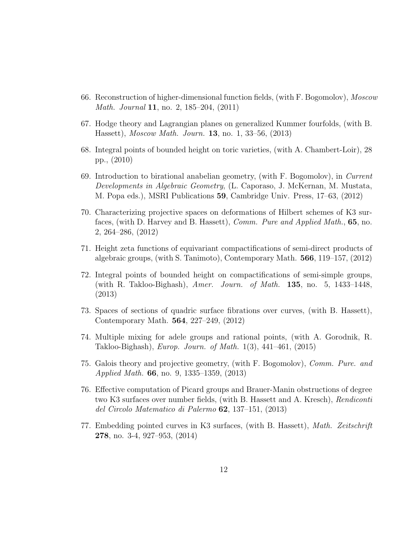- 66. Reconstruction of higher-dimensional function fields, (with F. Bogomolov), Moscow Math. Journal 11, no. 2, 185–204, (2011)
- 67. Hodge theory and Lagrangian planes on generalized Kummer fourfolds, (with B. Hassett), *Moscow Math. Journ.* **13**, no. 1, 33–56, (2013)
- 68. Integral points of bounded height on toric varieties, (with A. Chambert-Loir), 28 pp., (2010)
- 69. Introduction to birational anabelian geometry, (with F. Bogomolov), in Current Developments in Algebraic Geometry, (L. Caporaso, J. McKernan, M. Mustata, M. Popa eds.), MSRI Publications 59, Cambridge Univ. Press, 17–63, (2012)
- 70. Characterizing projective spaces on deformations of Hilbert schemes of K3 surfaces, (with D. Harvey and B. Hassett), *Comm. Pure and Applied Math.*, **65**, no. 2, 264–286, (2012)
- 71. Height zeta functions of equivariant compactifications of semi-direct products of algebraic groups, (with S. Tanimoto), Contemporary Math. 566, 119–157, (2012)
- 72. Integral points of bounded height on compactifications of semi-simple groups, (with R. Takloo-Bighash), Amer. Journ. of Math.  $135$ , no. 5, 1433–1448, (2013)
- 73. Spaces of sections of quadric surface fibrations over curves, (with B. Hassett), Contemporary Math. 564, 227–249, (2012)
- 74. Multiple mixing for adele groups and rational points, (with A. Gorodnik, R. Takloo-Bighash), Europ. Journ. of Math. 1(3), 441–461, (2015)
- 75. Galois theory and projective geometry, (with F. Bogomolov), Comm. Pure. and Applied Math. 66, no. 9, 1335–1359, (2013)
- 76. Effective computation of Picard groups and Brauer-Manin obstructions of degree two K3 surfaces over number fields, (with B. Hassett and A. Kresch), *Rendiconti* del Circolo Matematico di Palermo 62, 137–151, (2013)
- 77. Embedding pointed curves in K3 surfaces, (with B. Hassett), Math. Zeitschrift 278, no. 3-4, 927–953, (2014)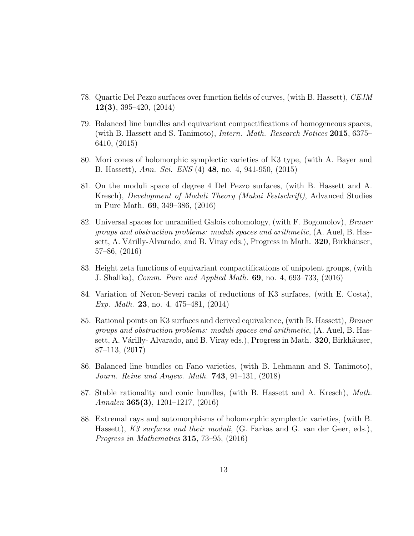- 78. Quartic Del Pezzo surfaces over function fields of curves, (with B. Hassett), CEJM 12(3), 395–420, (2014)
- 79. Balanced line bundles and equivariant compactifications of homogeneous spaces, (with B. Hassett and S. Tanimoto), Intern. Math. Research Notices 2015, 6375– 6410, (2015)
- 80. Mori cones of holomorphic symplectic varieties of K3 type, (with A. Bayer and B. Hassett), Ann. Sci. ENS (4) 48, no. 4, 941-950, (2015)
- 81. On the moduli space of degree 4 Del Pezzo surfaces, (with B. Hassett and A. Kresch), Development of Moduli Theory (Mukai Festschrift), Advanced Studies in Pure Math. 69, 349–386, (2016)
- 82. Universal spaces for unramified Galois cohomology, (with F. Bogomolov), Brauer groups and obstruction problems: moduli spaces and arithmetic, (A. Auel, B. Hassett, A. Várilly-Alvarado, and B. Viray eds.), Progress in Math. **320**, Birkhäuser, 57–86, (2016)
- 83. Height zeta functions of equivariant compactifications of unipotent groups, (with J. Shalika), Comm. Pure and Applied Math. 69, no. 4, 693–733, (2016)
- 84. Variation of Neron-Severi ranks of reductions of K3 surfaces, (with E. Costa), Exp. Math. 23, no. 4, 475–481, (2014)
- 85. Rational points on K3 surfaces and derived equivalence, (with B. Hassett), Brauer groups and obstruction problems: moduli spaces and arithmetic, (A. Auel, B. Hassett, A. Várilly- Alvarado, and B. Viray eds.), Progress in Math.  $320$ , Birkhäuser, 87–113, (2017)
- 86. Balanced line bundles on Fano varieties, (with B. Lehmann and S. Tanimoto), Journ. Reine und Angew. Math. 743, 91–131, (2018)
- 87. Stable rationality and conic bundles, (with B. Hassett and A. Kresch), Math. Annalen 365(3), 1201–1217,  $(2016)$
- 88. Extremal rays and automorphisms of holomorphic symplectic varieties, (with B. Hassett), K3 surfaces and their moduli, (G. Farkas and G. van der Geer, eds.), Progress in Mathematics 315, 73–95, (2016)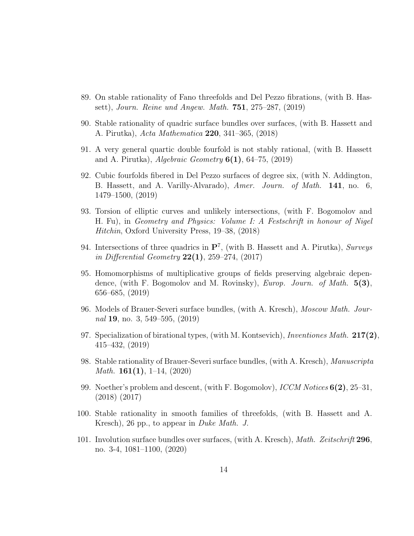- 89. On stable rationality of Fano threefolds and Del Pezzo fibrations, (with B. Hassett), Journ. Reine und Angew. Math. 751, 275–287, (2019)
- 90. Stable rationality of quadric surface bundles over surfaces, (with B. Hassett and A. Pirutka), Acta Mathematica 220, 341–365, (2018)
- 91. A very general quartic double fourfold is not stably rational, (with B. Hassett and A. Pirutka), Algebraic Geometry  $6(1)$ , 64–75, (2019)
- 92. Cubic fourfolds fibered in Del Pezzo surfaces of degree six, (with N. Addington, B. Hassett, and A. Varilly-Alvarado), Amer. Journ. of Math. 141, no. 6, 1479–1500, (2019)
- 93. Torsion of elliptic curves and unlikely intersections, (with F. Bogomolov and H. Fu), in Geometry and Physics: Volume I: A Festschrift in honour of Nigel Hitchin, Oxford University Press, 19–38, (2018)
- 94. Intersections of three quadrics in  $\mathbf{P}^7$ , (with B. Hassett and A. Pirutka), Surveys in Differential Geometry  $22(1)$ ,  $259-274$ ,  $(2017)$
- 95. Homomorphisms of multiplicative groups of fields preserving algebraic dependence, (with F. Bogomolov and M. Rovinsky), *Europ. Journ. of Math.*  $5(3)$ , 656–685, (2019)
- 96. Models of Brauer-Severi surface bundles, (with A. Kresch), Moscow Math. Journal 19, no. 3, 549–595, (2019)
- 97. Specialization of birational types, (with M. Kontsevich), Inventiones Math.  $217(2)$ , 415–432, (2019)
- 98. Stable rationality of Brauer-Severi surface bundles, (with A. Kresch), Manuscripta *Math.* **161(1)**, 1–14, (2020)
- 99. Noether's problem and descent, (with F. Bogomolov),  $\textit{ICCM Notes}$  6(2), 25–31, (2018) (2017)
- 100. Stable rationality in smooth families of threefolds, (with B. Hassett and A. Kresch), 26 pp., to appear in *Duke Math. J.*
- 101. Involution surface bundles over surfaces, (with A. Kresch), Math. Zeitschrift 296, no. 3-4, 1081–1100, (2020)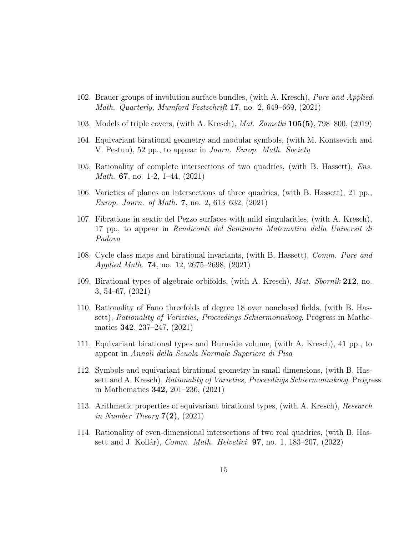- 102. Brauer groups of involution surface bundles, (with A. Kresch), Pure and Applied Math. Quarterly, Mumford Festschrift 17, no. 2, 649–669, (2021)
- 103. Models of triple covers, (with A. Kresch), Mat. Zametki 105(5), 798–800, (2019)
- 104. Equivariant birational geometry and modular symbols, (with M. Kontsevich and V. Pestun), 52 pp., to appear in *Journ. Europ. Math. Society*
- 105. Rationality of complete intersections of two quadrics, (with B. Hassett), Ens. *Math.* **67**, no. 1-2, 1-44,  $(2021)$
- 106. Varieties of planes on intersections of three quadrics, (with B. Hassett), 21 pp., Europ. Journ. of Math. 7, no. 2, 613–632, (2021)
- 107. Fibrations in sextic del Pezzo surfaces with mild singularities, (with A. Kresch), 17 pp., to appear in Rendiconti del Seminario Matematico della Universit di Padova
- 108. Cycle class maps and birational invariants, (with B. Hassett), Comm. Pure and Applied Math. 74, no. 12, 2675–2698, (2021)
- 109. Birational types of algebraic orbifolds, (with A. Kresch), Mat. Sbornik 212, no. 3, 54–67, (2021)
- 110. Rationality of Fano threefolds of degree 18 over nonclosed fields, (with B. Hassett), Rationality of Varieties, Proceedings Schiermonnikoog, Progress in Mathematics 342, 237–247, (2021)
- 111. Equivariant birational types and Burnside volume, (with A. Kresch), 41 pp., to appear in Annali della Scuola Normale Superiore di Pisa
- 112. Symbols and equivariant birational geometry in small dimensions, (with B. Hassett and A. Kresch), Rationality of Varieties, Proceedings Schiermonnikoog, Progress in Mathematics 342, 201–236, (2021)
- 113. Arithmetic properties of equivariant birational types, (with A. Kresch), Research in Number Theory  $7(2)$ ,  $(2021)$
- 114. Rationality of even-dimensional intersections of two real quadrics, (with B. Hassett and J. Kollár), *Comm. Math. Helvetici* **97**, no. 1, 183–207, (2022)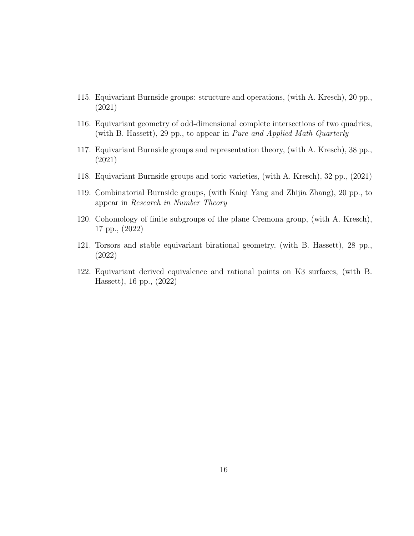- 115. Equivariant Burnside groups: structure and operations, (with A. Kresch), 20 pp., (2021)
- 116. Equivariant geometry of odd-dimensional complete intersections of two quadrics, (with B. Hassett), 29 pp., to appear in Pure and Applied Math Quarterly
- 117. Equivariant Burnside groups and representation theory, (with A. Kresch), 38 pp., (2021)
- 118. Equivariant Burnside groups and toric varieties, (with A. Kresch), 32 pp., (2021)
- 119. Combinatorial Burnside groups, (with Kaiqi Yang and Zhijia Zhang), 20 pp., to appear in Research in Number Theory
- 120. Cohomology of finite subgroups of the plane Cremona group, (with A. Kresch), 17 pp., (2022)
- 121. Torsors and stable equivariant birational geometry, (with B. Hassett), 28 pp., (2022)
- 122. Equivariant derived equivalence and rational points on K3 surfaces, (with B. Hassett), 16 pp., (2022)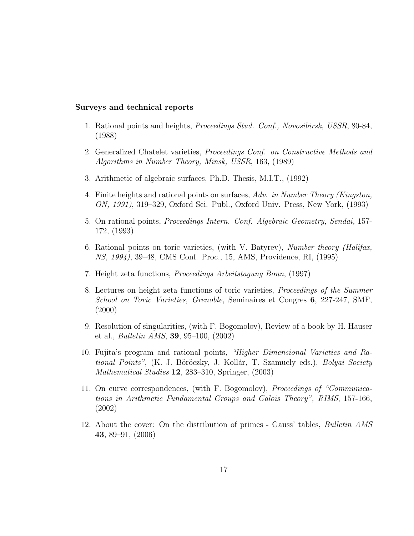#### Surveys and technical reports

- 1. Rational points and heights, Proceedings Stud. Conf., Novosibirsk, USSR, 80-84, (1988)
- 2. Generalized Chatelet varieties, Proceedings Conf. on Constructive Methods and Algorithms in Number Theory, Minsk, USSR, 163, (1989)
- 3. Arithmetic of algebraic surfaces, Ph.D. Thesis, M.I.T., (1992)
- 4. Finite heights and rational points on surfaces, Adv. in Number Theory (Kingston, ON, 1991), 319–329, Oxford Sci. Publ., Oxford Univ. Press, New York, (1993)
- 5. On rational points, Proceedings Intern. Conf. Algebraic Geometry, Sendai, 157- 172, (1993)
- 6. Rational points on toric varieties, (with V. Batyrev), Number theory (Halifax, NS, 1994), 39–48, CMS Conf. Proc., 15, AMS, Providence, RI, (1995)
- 7. Height zeta functions, Proceedings Arbeitstagung Bonn, (1997)
- 8. Lectures on height zeta functions of toric varieties, Proceedings of the Summer School on Toric Varieties, Grenoble, Seminaires et Congres 6, 227-247, SMF, (2000)
- 9. Resolution of singularities, (with F. Bogomolov), Review of a book by H. Hauser et al., Bulletin AMS, 39, 95–100, (2002)
- 10. Fujita's program and rational points, "Higher Dimensional Varieties and Rational Points", (K. J. Böröczky, J. Kollár, T. Szamuely eds.), Bolyai Society Mathematical Studies 12, 283–310, Springer, (2003)
- 11. On curve correspondences, (with F. Bogomolov), Proceedings of "Communications in Arithmetic Fundamental Groups and Galois Theory", RIMS, 157-166, (2002)
- 12. About the cover: On the distribution of primes Gauss' tables, Bulletin AMS 43, 89–91, (2006)